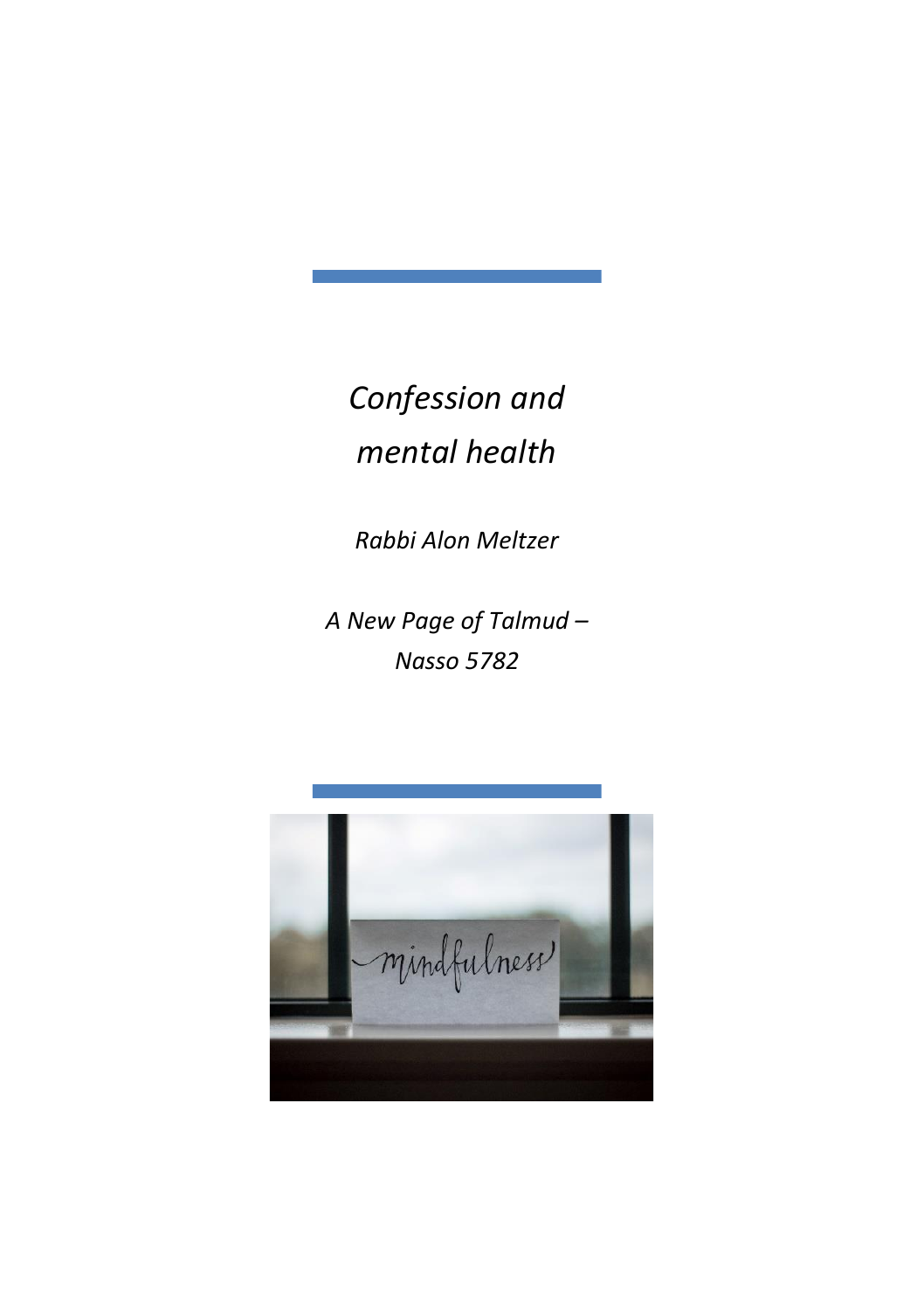*Confession and mental health*

*Rabbi Alon Meltzer*

*A New Page of Talmud – Nasso 5782*